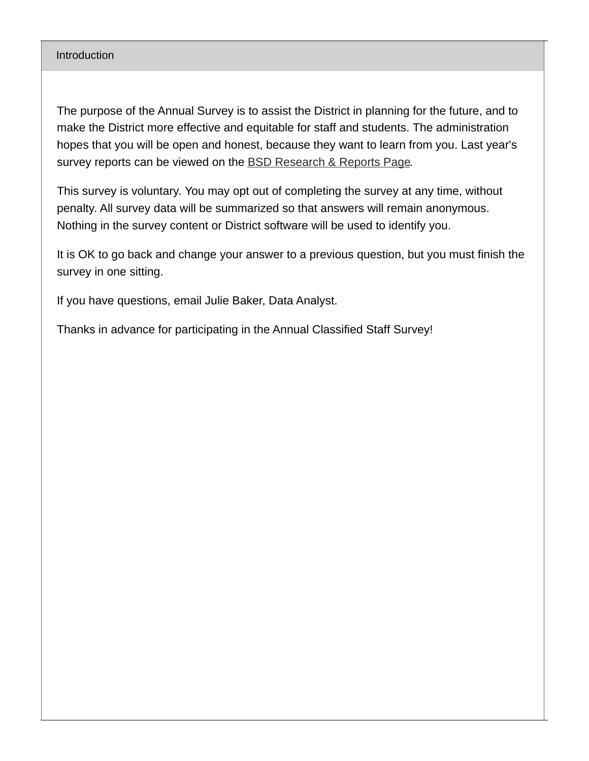#### **Introduction**

The purpose of the Annual Survey is to assist the District in planning for the future, and to make the District more effective and equitable for staff and students. The administration hopes that you will be open and honest, because they want to learn from you. Last year's survey reports can be viewed on the **BSD [Research](https://www.beaverton.k12.or.us/district/research-reports) & Reports Page.** 

This survey is voluntary. You may opt out of completing the survey at any time, without penalty. All survey data will be summarized so that answers will remain anonymous. Nothing in the survey content or District software will be used to identify you.

It is OK to go back and change your answer to a previous question, but you must finish the survey in one sitting.

If you have questions, email Julie Baker, Data Analyst.

Thanks in advance for participating in the Annual Classified Staff Survey!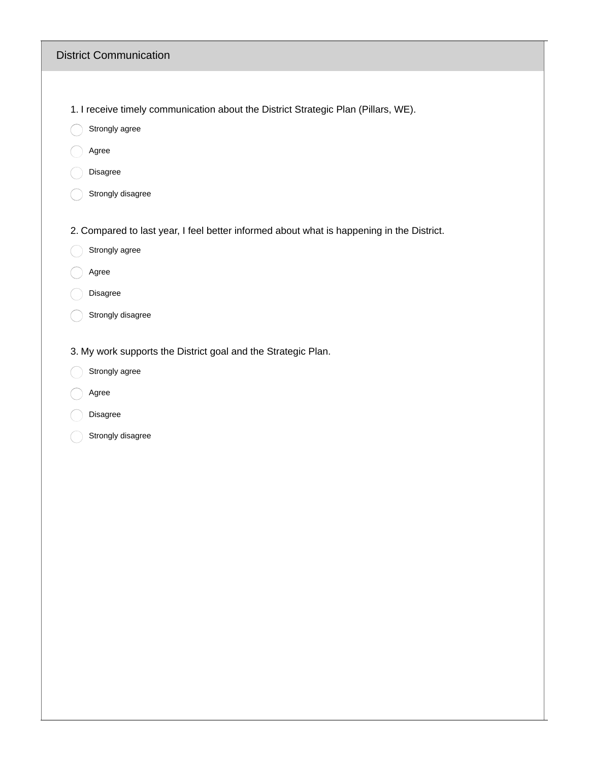#### District Communication

1. I receive timely communication about the District Strategic Plan (Pillars, WE).

- Strongly agree
- Agree
- Disagree
- Strongly disagree

2. Compared to last year, I feel better informed about what is happening in the District.

- Strongly agree
- Agree
- Disagree
- Strongly disagree
- 3. My work supports the District goal and the Strategic Plan.
- Strongly agree
- Agree
- Disagree
- Strongly disagree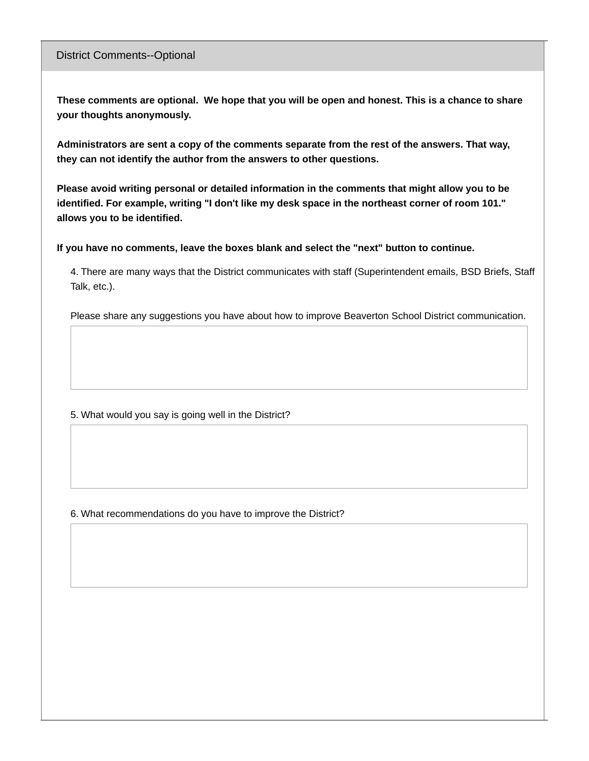#### District Comments--Optional

These comments are optional. We hope that you will be open and honest. This is a chance to share **your thoughts anonymously.**

**Administrators are sent a copy of the comments separate from the rest of the answers. That way, they can not identify the author from the answers to other questions.**

**Please avoid writing personal or detailed information in the comments that might allow you to be identified. For example, writing "I don't like my desk space in the northeast corner of room 101." allows you to be identified.**

**If you have no comments, leave the boxes blank and select the "next" button to continue.**

4. There are many ways that the District communicates with staff (Superintendent emails, BSD Briefs, Staff Talk, etc.).

Please share any suggestions you have about how to improve Beaverton School District communication.

5. What would you say is going well in the District?

6. What recommendations do you have to improve the District?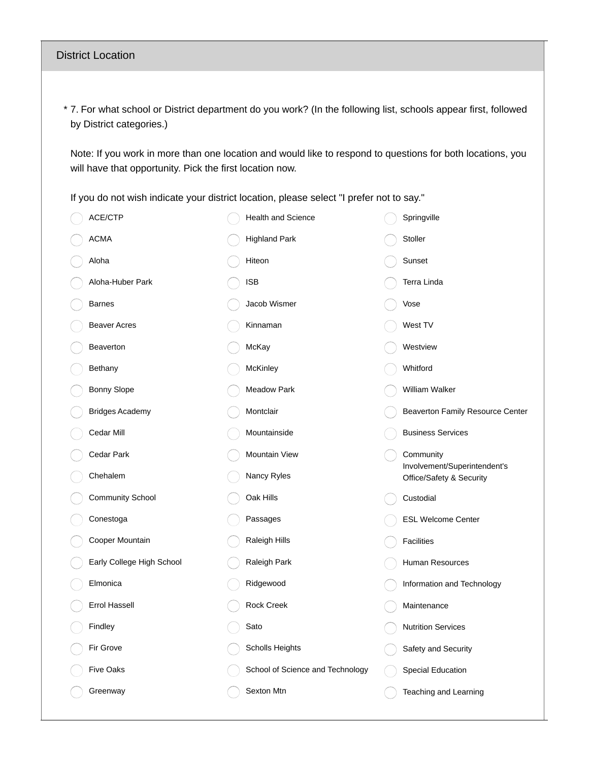#### District Location

7. For what school or District department do you work? (In the following list, schools appear first, followed \* by District categories.)

Note: If you work in more than one location and would like to respond to questions for both locations, you will have that opportunity. Pick the first location now.

If you do not wish indicate your district location, please select "I prefer not to say."

| ACE/CTP                   | <b>Health and Science</b>        | Springville                               |
|---------------------------|----------------------------------|-------------------------------------------|
| <b>ACMA</b>               | <b>Highland Park</b>             | Stoller                                   |
| Aloha                     | Hiteon                           | Sunset                                    |
| Aloha-Huber Park          | <b>ISB</b>                       | Terra Linda                               |
| <b>Barnes</b>             | Jacob Wismer                     | Vose                                      |
| <b>Beaver Acres</b>       | Kinnaman                         | West TV                                   |
| Beaverton                 | McKay                            | Westview                                  |
| Bethany                   | McKinley                         | Whitford                                  |
| Bonny Slope               | <b>Meadow Park</b>               | William Walker                            |
| <b>Bridges Academy</b>    | Montclair                        | Beaverton Family Resource Center          |
| Cedar Mill                | Mountainside                     | <b>Business Services</b>                  |
| Cedar Park                | <b>Mountain View</b>             | Community<br>Involvement/Superintendent's |
| Chehalem                  | Nancy Ryles                      | Office/Safety & Security                  |
| <b>Community School</b>   | Oak Hills                        | Custodial                                 |
| Conestoga                 | Passages                         | <b>ESL Welcome Center</b>                 |
| Cooper Mountain           | Raleigh Hills                    | <b>Facilities</b>                         |
| Early College High School | Raleigh Park                     | Human Resources                           |
| Elmonica                  | Ridgewood                        | Information and Technology                |
| <b>Errol Hassell</b>      | <b>Rock Creek</b>                | Maintenance                               |
| Findley                   | Sato                             | <b>Nutrition Services</b>                 |
| Fir Grove                 | <b>Scholls Heights</b>           | Safety and Security                       |
| <b>Five Oaks</b>          | School of Science and Technology | <b>Special Education</b>                  |
| Greenway                  | Sexton Mtn                       | Teaching and Learning                     |
|                           |                                  |                                           |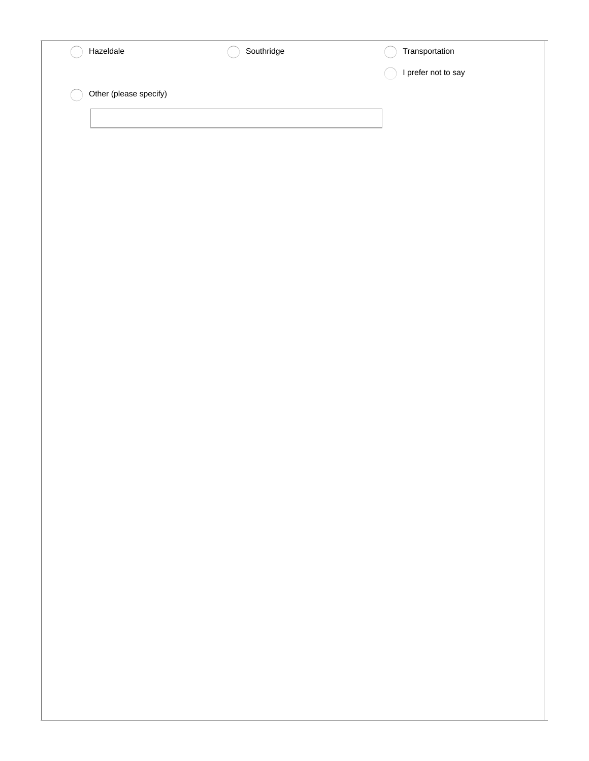| Hazeldale              | Southridge | Transportation      |
|------------------------|------------|---------------------|
|                        |            | I prefer not to say |
| Other (please specify) |            |                     |
|                        |            |                     |
|                        |            |                     |
|                        |            |                     |
|                        |            |                     |
|                        |            |                     |
|                        |            |                     |
|                        |            |                     |
|                        |            |                     |
|                        |            |                     |
|                        |            |                     |
|                        |            |                     |
|                        |            |                     |
|                        |            |                     |
|                        |            |                     |
|                        |            |                     |
|                        |            |                     |
|                        |            |                     |
|                        |            |                     |
|                        |            |                     |
|                        |            |                     |
|                        |            |                     |
|                        |            |                     |
|                        |            |                     |
|                        |            |                     |
|                        |            |                     |
|                        |            |                     |
|                        |            |                     |
|                        |            |                     |
|                        |            |                     |
|                        |            |                     |
|                        |            |                     |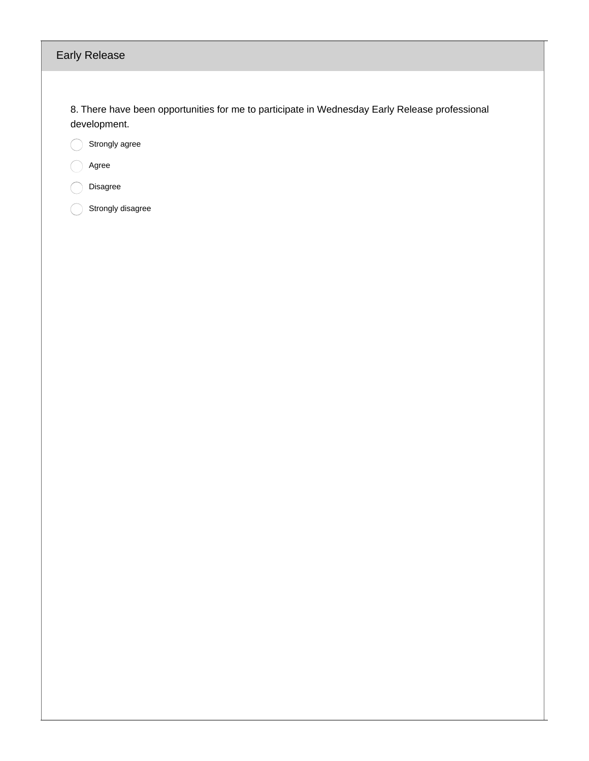# Early Release

8. There have been opportunities for me to participate in Wednesday Early Release professional development.

Strongly agree

Agree  $\bigcap$ 

Disagree  $\subset$ 

 $\bigcirc$ Strongly disagree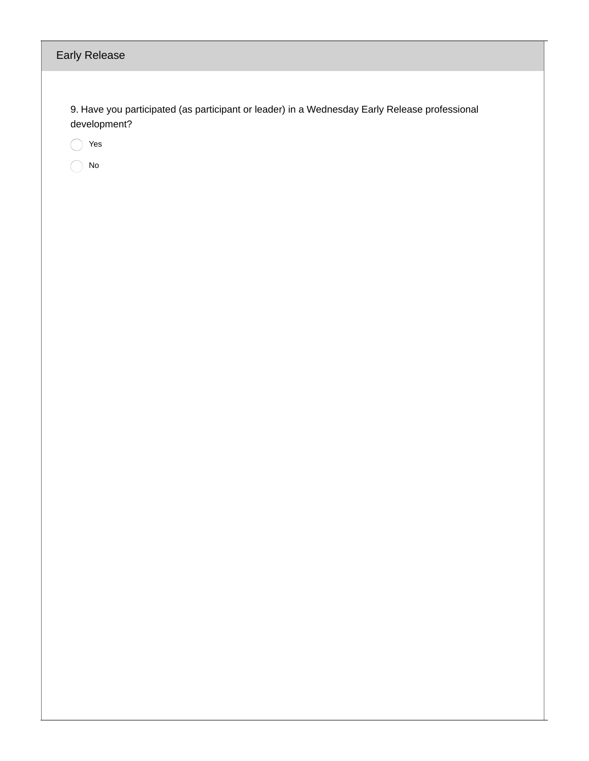| <b>Early Release</b>                                                                                          |
|---------------------------------------------------------------------------------------------------------------|
| 9. Have you participated (as participant or leader) in a Wednesday Early Release professional<br>development? |
| Yes                                                                                                           |
| No                                                                                                            |
|                                                                                                               |
|                                                                                                               |
|                                                                                                               |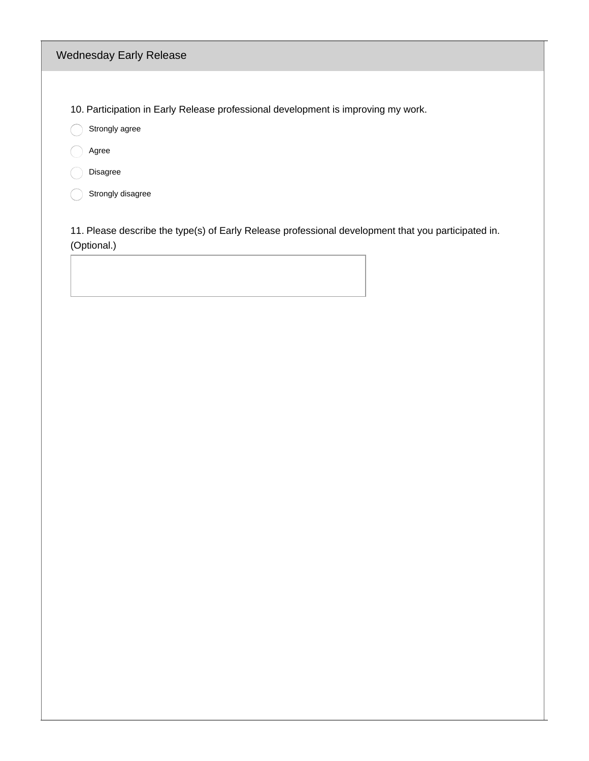# Wednesday Early Release

10. Participation in Early Release professional development is improving my work.

Strongly agree

agree

Disagree

 $\bigcirc$  Strongly disagree

11. Please describe the type(s) of Early Release professional development that you participated in. (Optional.)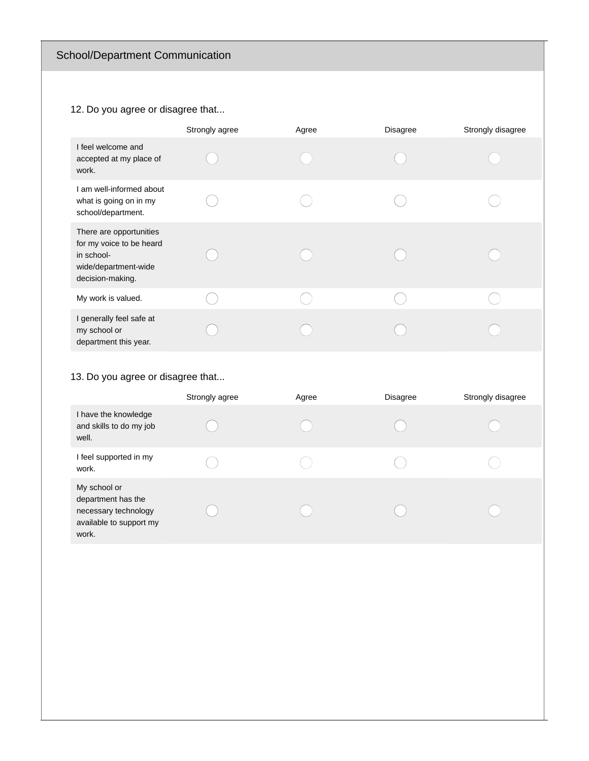# 12. Do you agree or disagree that...

|                                                                                                               | Strongly agree | Agree | <b>Disagree</b> | Strongly disagree |
|---------------------------------------------------------------------------------------------------------------|----------------|-------|-----------------|-------------------|
| I feel welcome and<br>accepted at my place of<br>work.                                                        |                |       |                 |                   |
| I am well-informed about<br>what is going on in my<br>school/department.                                      |                |       |                 |                   |
| There are opportunities<br>for my voice to be heard<br>in school-<br>wide/department-wide<br>decision-making. |                |       |                 |                   |
| My work is valued.                                                                                            |                |       |                 |                   |
| I generally feel safe at<br>my school or<br>department this year.                                             |                |       |                 |                   |

# 13. Do you agree or disagree that...

|                                                                                                | Strongly agree | Agree | <b>Disagree</b> | Strongly disagree |
|------------------------------------------------------------------------------------------------|----------------|-------|-----------------|-------------------|
| I have the knowledge<br>and skills to do my job<br>well.                                       |                |       |                 |                   |
| I feel supported in my<br>work.                                                                |                |       |                 |                   |
| My school or<br>department has the<br>necessary technology<br>available to support my<br>work. |                |       |                 |                   |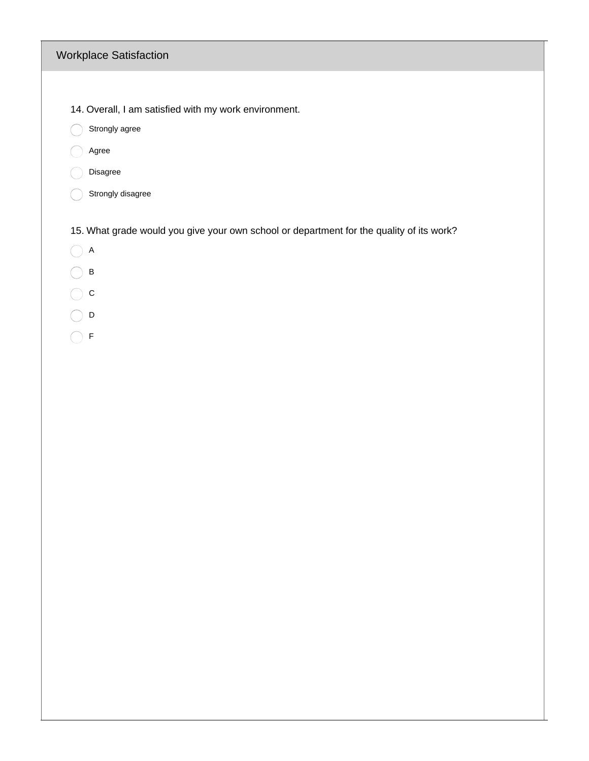# Workplace Satisfaction

- 14. Overall, I am satisfied with my work environment.
- Strongly agree
- agree
- Disagree
- Strongly disagree

15. What grade would you give your own school or department for the quality of its work?

- $\bigcirc$  A
- $\bigcirc$  B
- $\bigcirc$  c
- $\bigcirc$  D
- $\bigcirc$  F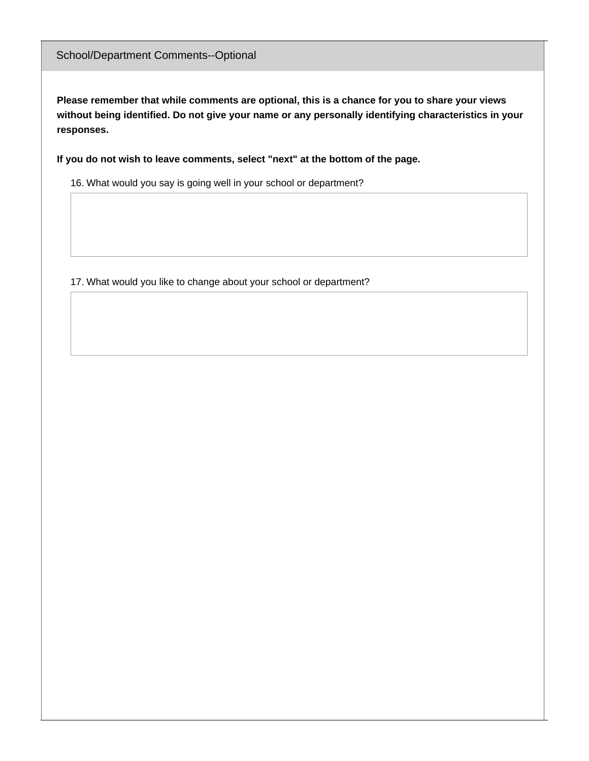**Please remember that while comments are optional, this is a chance for you to share your views without being identified. Do not give your name or any personally identifying characteristics in your responses.**

**If you do not wish to leave comments, select "next" at the bottom of the page.**

16. What would you say is going well in your school or department?

17. What would you like to change about your school or department?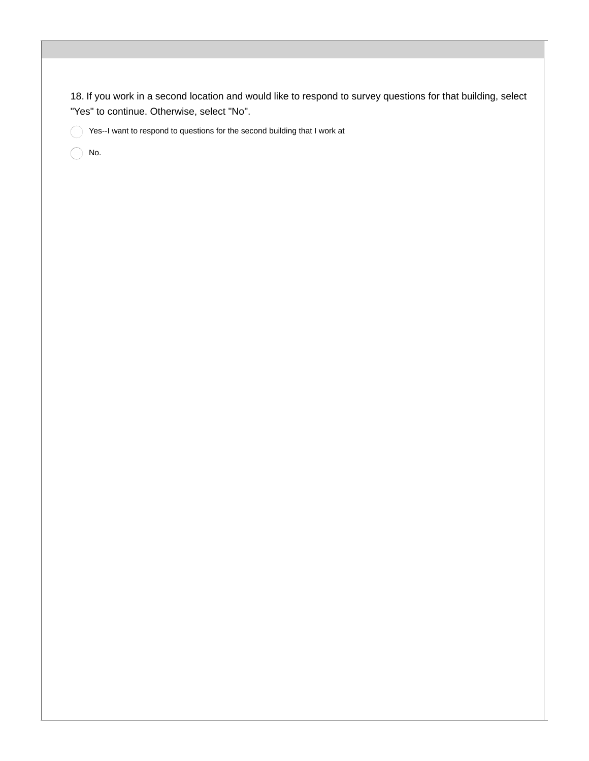18. If you work in a second location and would like to respond to survey questions for that building, select "Yes" to continue. Otherwise, select "No".

Yes--I want to respond to questions for the second building that I work at

No. $( \ )$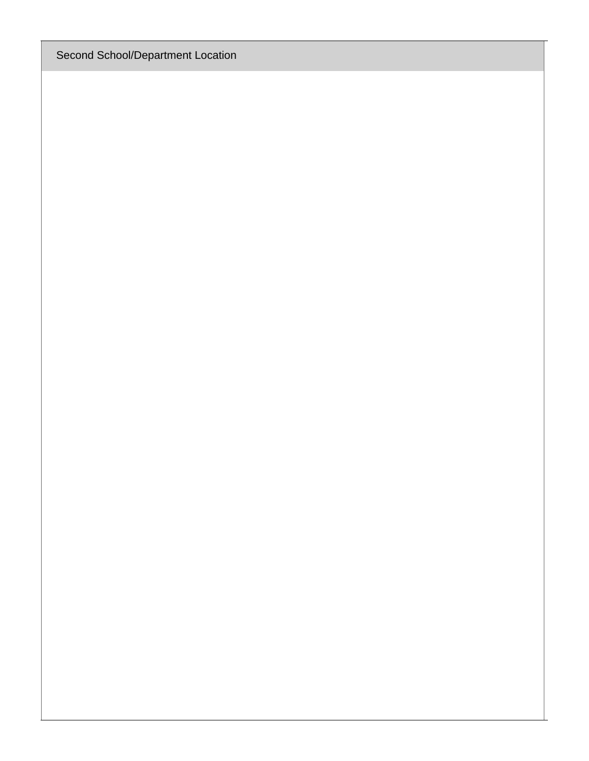Second School/Department Location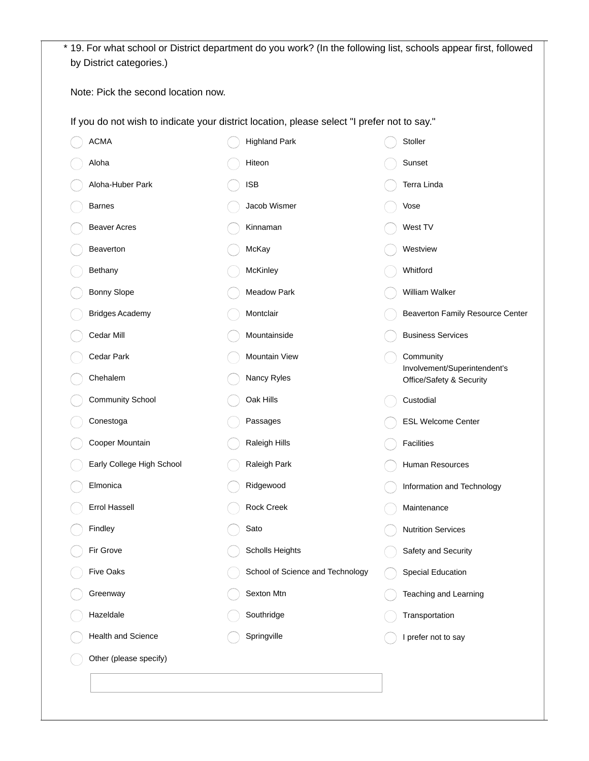| Note: Pick the second location now. |                                                                                             |                                                          |
|-------------------------------------|---------------------------------------------------------------------------------------------|----------------------------------------------------------|
|                                     |                                                                                             |                                                          |
|                                     | If you do not wish to indicate your district location, please select "I prefer not to say." |                                                          |
| <b>ACMA</b>                         | <b>Highland Park</b>                                                                        | Stoller                                                  |
| Aloha                               | Hiteon                                                                                      | Sunset                                                   |
| Aloha-Huber Park                    | <b>ISB</b>                                                                                  | Terra Linda                                              |
| <b>Barnes</b>                       | Jacob Wismer                                                                                | Vose                                                     |
| <b>Beaver Acres</b>                 | Kinnaman                                                                                    | West TV                                                  |
| Beaverton                           | McKay                                                                                       | Westview                                                 |
| Bethany                             | McKinley                                                                                    | Whitford                                                 |
| Bonny Slope                         | <b>Meadow Park</b>                                                                          | William Walker                                           |
| <b>Bridges Academy</b>              | Montclair                                                                                   | Beaverton Family Resource Center                         |
| Cedar Mill                          | Mountainside                                                                                | <b>Business Services</b>                                 |
| Cedar Park                          | Mountain View                                                                               | Community                                                |
| Chehalem                            | Nancy Ryles                                                                                 | Involvement/Superintendent's<br>Office/Safety & Security |
| Community School                    | Oak Hills                                                                                   | Custodial                                                |
| Conestoga                           | Passages                                                                                    | ESL Welcome Center                                       |
| Cooper Mountain                     | Raleigh Hills                                                                               | Facilities                                               |
| Early College High School           | Raleigh Park                                                                                | Human Resources                                          |
| Elmonica                            | Ridgewood                                                                                   | Information and Technology                               |
| Errol Hassell                       | Rock Creek                                                                                  | Maintenance                                              |
| Findley                             | Sato                                                                                        | <b>Nutrition Services</b>                                |
| Fir Grove                           | Scholls Heights                                                                             | Safety and Security                                      |
| Five Oaks                           | School of Science and Technology                                                            | <b>Special Education</b>                                 |
| Greenway                            | Sexton Mtn                                                                                  | Teaching and Learning                                    |
| Hazeldale                           | Southridge                                                                                  | Transportation                                           |
| Health and Science                  | Springville                                                                                 | I prefer not to say                                      |
| Other (please specify)              |                                                                                             |                                                          |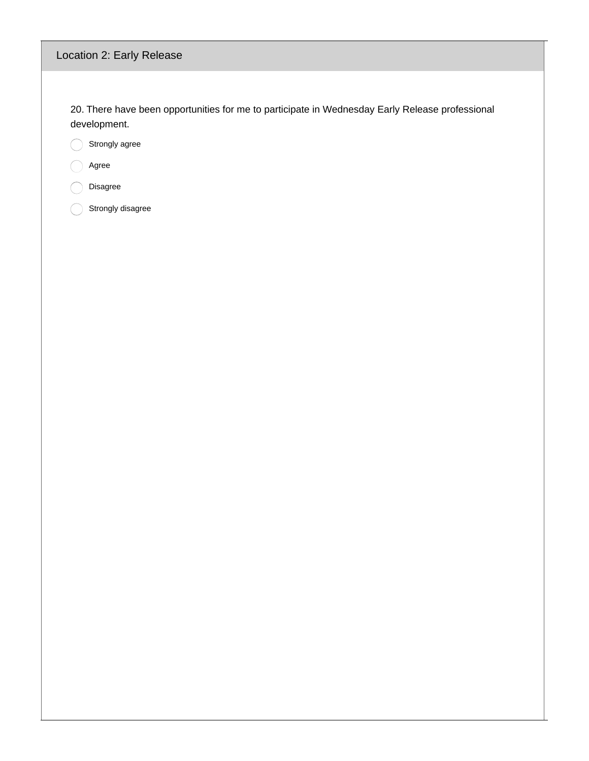# Location 2: Early Release

20. There have been opportunities for me to participate in Wednesday Early Release professional development.

Strongly agree ◯

Agree  $\bigcap$ 

Disagree  $\subset$ 

 $\bigcirc$ Strongly disagree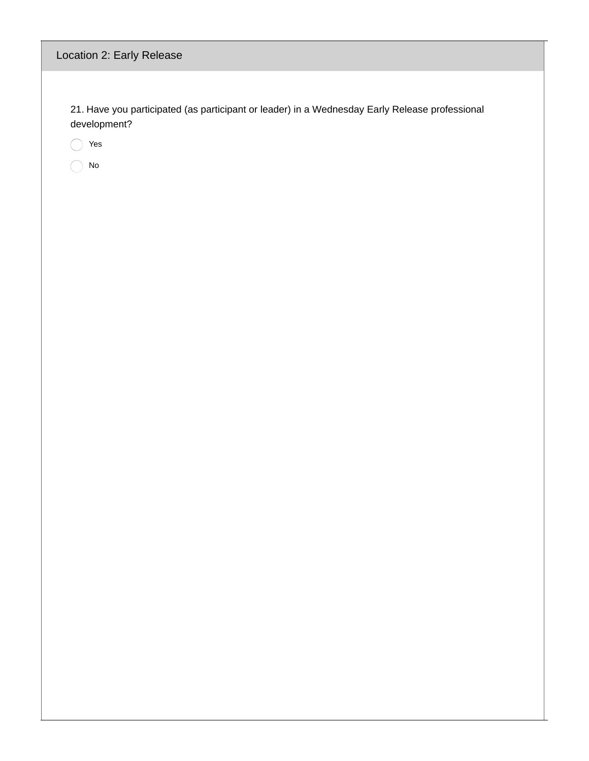# Location 2: Early Release

21. Have you participated (as participant or leader) in a Wednesday Early Release professional development?

Yes

No◯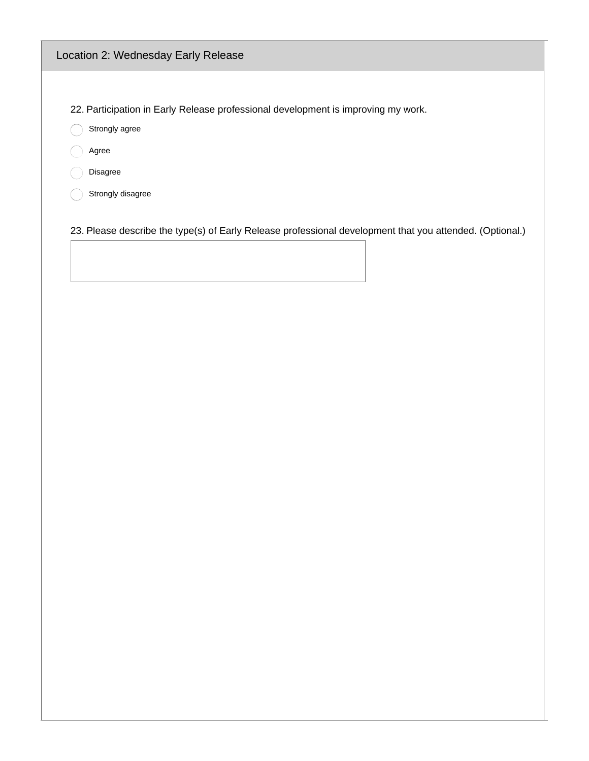# Location 2: Wednesday Early Release

22. Participation in Early Release professional development is improving my work.

Strongly agree

Agree

Disagree

 $\bigcirc$  Strongly disagree

23. Please describe the type(s) of Early Release professional development that you attended. (Optional.)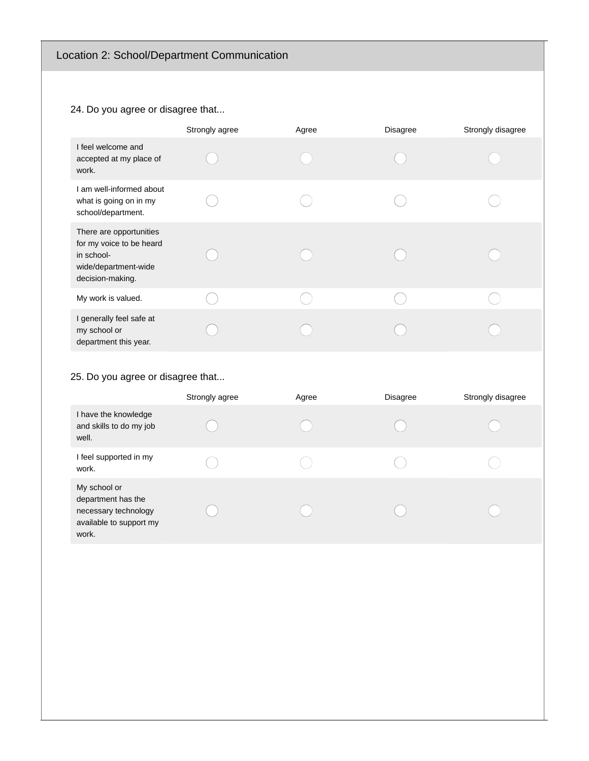# 24. Do you agree or disagree that...

|                                                                                                               | Strongly agree | Agree | <b>Disagree</b> | Strongly disagree |
|---------------------------------------------------------------------------------------------------------------|----------------|-------|-----------------|-------------------|
| I feel welcome and<br>accepted at my place of<br>work.                                                        |                |       |                 |                   |
| I am well-informed about<br>what is going on in my<br>school/department.                                      |                |       |                 |                   |
| There are opportunities<br>for my voice to be heard<br>in school-<br>wide/department-wide<br>decision-making. |                |       |                 |                   |
| My work is valued.                                                                                            |                |       |                 |                   |
| I generally feel safe at<br>my school or<br>department this year.                                             |                |       |                 |                   |

# 25. Do you agree or disagree that...

|                                                                                                | Strongly agree | Agree | <b>Disagree</b> | Strongly disagree |
|------------------------------------------------------------------------------------------------|----------------|-------|-----------------|-------------------|
| I have the knowledge<br>and skills to do my job<br>well.                                       |                |       |                 |                   |
| I feel supported in my<br>work.                                                                |                |       |                 |                   |
| My school or<br>department has the<br>necessary technology<br>available to support my<br>work. |                |       |                 |                   |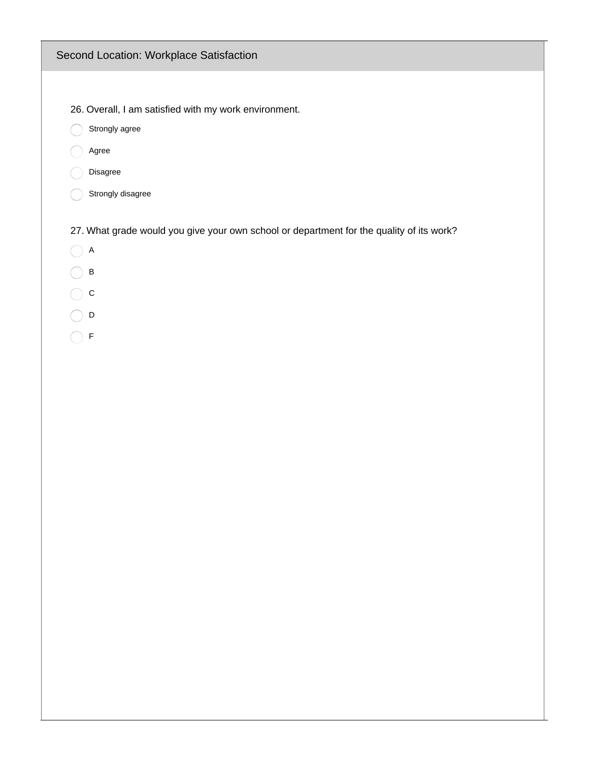# Second Location: Workplace Satisfaction

- 26. Overall, I am satisfied with my work environment.
- Strongly agree
- agree
- Disagree
- Strongly disagree

27. What grade would you give your own school or department for the quality of its work?

- $\bigcirc$  A
- $\bigcirc$  B
- $\bigcirc$  c
- $\bigcirc$  D
- $\bigcirc$  F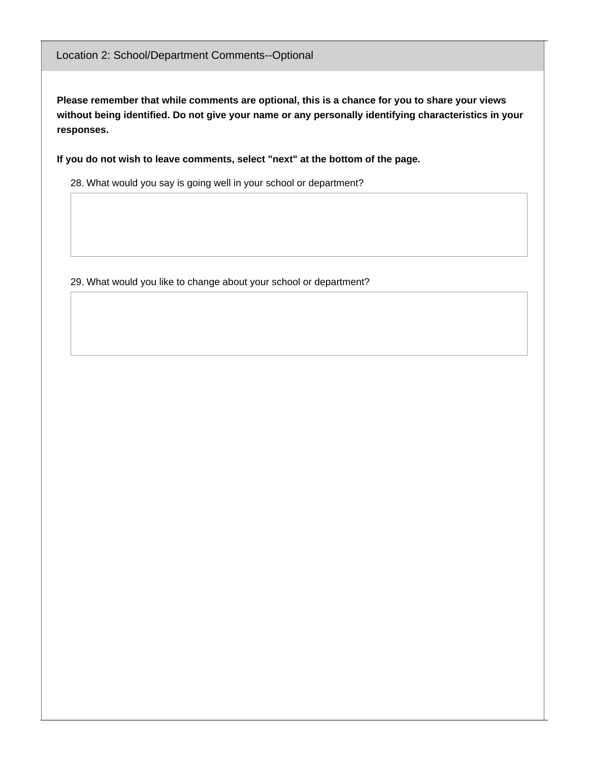**Please remember that while comments are optional, this is a chance for you to share your views without being identified. Do not give your name or any personally identifying characteristics in your responses.**

**If you do not wish to leave comments, select "next" at the bottom of the page.**

28. What would you say is going well in your school or department?

29. What would you like to change about your school or department?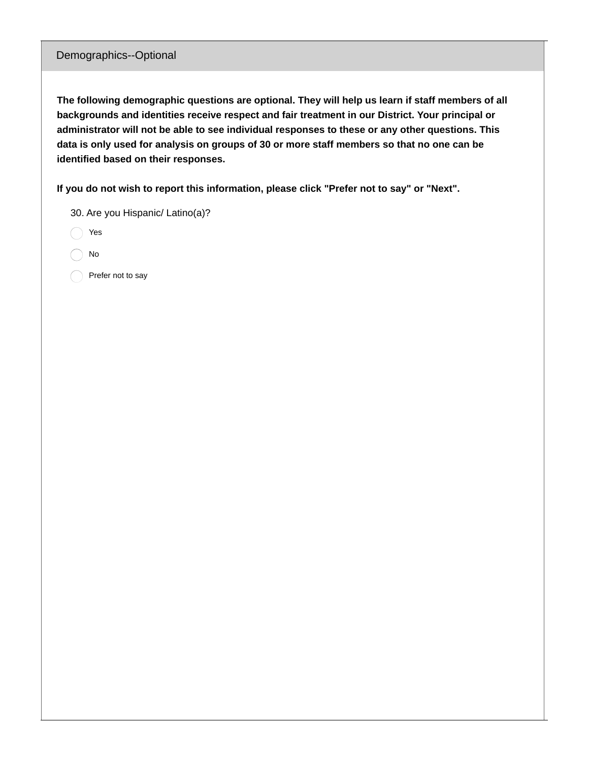#### Demographics--Optional

**The following demographic questions are optional. They will help us learn if staff members of all backgrounds and identities receive respect and fair treatment in our District. Your principal or administrator will not be able to see individual responses to these or any other questions. This** data is only used for analysis on groups of 30 or more staff members so that no one can be **identified based on their responses.**

**If you do not wish to report this information, please click "Prefer not to say" or "Next".**

|  |  | 30. Are you Hispanic/ Latino(a)? |  |  |
|--|--|----------------------------------|--|--|
|--|--|----------------------------------|--|--|

Yes

No

Prefer not to say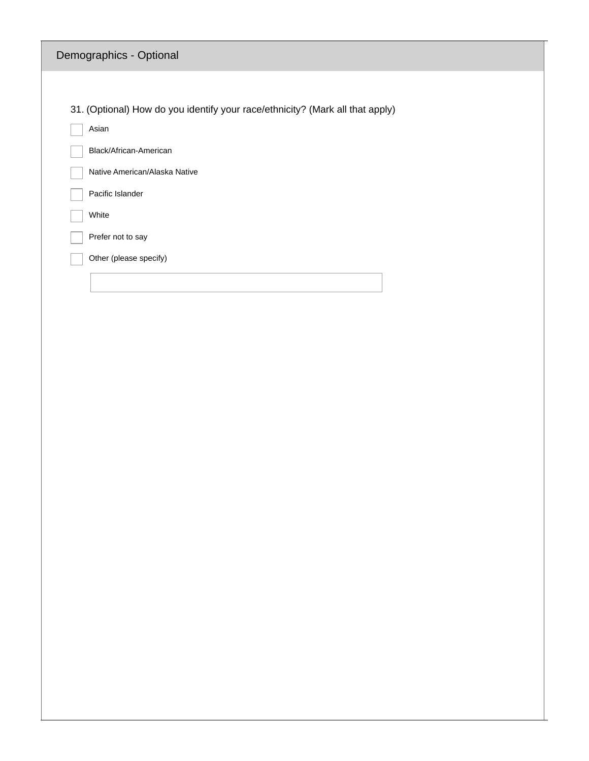|       | Demographics - Optional                                                       |  |
|-------|-------------------------------------------------------------------------------|--|
|       |                                                                               |  |
|       | 31. (Optional) How do you identify your race/ethnicity? (Mark all that apply) |  |
| Asian |                                                                               |  |
|       | Black/African-American                                                        |  |
|       | Native American/Alaska Native                                                 |  |
|       | Pacific Islander                                                              |  |
| White |                                                                               |  |
|       | Prefer not to say                                                             |  |
|       | Other (please specify)                                                        |  |
|       |                                                                               |  |
|       |                                                                               |  |
|       |                                                                               |  |
|       |                                                                               |  |
|       |                                                                               |  |
|       |                                                                               |  |
|       |                                                                               |  |
|       |                                                                               |  |
|       |                                                                               |  |
|       |                                                                               |  |
|       |                                                                               |  |
|       |                                                                               |  |
|       |                                                                               |  |
|       |                                                                               |  |
|       |                                                                               |  |
|       |                                                                               |  |
|       |                                                                               |  |
|       |                                                                               |  |
|       |                                                                               |  |
|       |                                                                               |  |
|       |                                                                               |  |